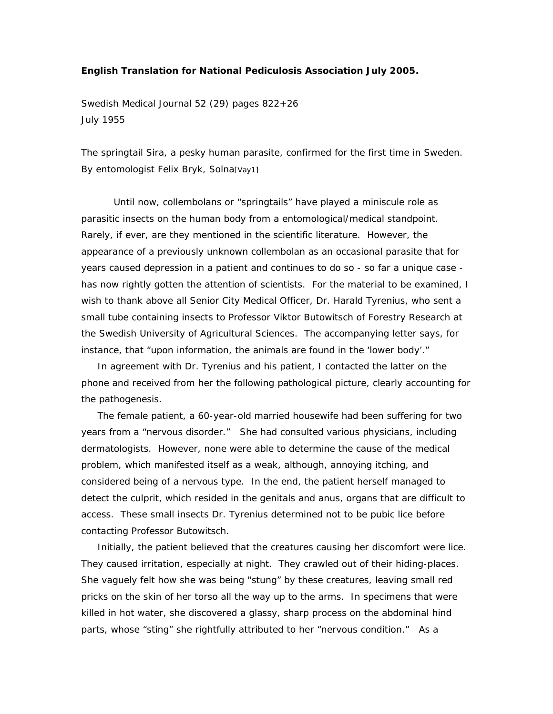## **English Translation for National Pediculosis Association July 2005.**

Swedish Medical Journal 52 (29) pages 822+26 July 1955

The springtail Sira, a pesky human parasite, confirmed for the first time in Sweden. By entomologist Felix Bryk, Solna[Vay1]

Until now, collembolans or "springtails" have played a miniscule role as parasitic insects on the human body from a entomological/medical standpoint. Rarely, if ever, are they mentioned in the scientific literature. However, the appearance of a previously unknown collembolan as an occasional parasite that for years caused depression in a patient and continues to do so - so far a unique case has now rightly gotten the attention of scientists. For the material to be examined, I wish to thank above all Senior City Medical Officer, Dr. Harald Tyrenius, who sent a small tube containing insects to Professor Viktor Butowitsch of Forestry Research at the Swedish University of Agricultural Sciences. The accompanying letter says, for instance, that "upon information, the animals are found in the 'lower body'."

 In agreement with Dr. Tyrenius and his patient, I contacted the latter on the phone and received from her the following pathological picture, clearly accounting for the pathogenesis.

 The female patient, a 60-year-old married housewife had been suffering for two years from a "nervous disorder." She had consulted various physicians, including dermatologists. However, none were able to determine the cause of the medical problem, which manifested itself as a weak, although, annoying itching, and considered being of a nervous type. In the end, the patient herself managed to detect the culprit, which resided in the genitals and anus, organs that are difficult to access. These small insects Dr. Tyrenius determined not to be pubic lice before contacting Professor Butowitsch.

 Initially, the patient believed that the creatures causing her discomfort were lice. They caused irritation, especially at night. They crawled out of their hiding-places. She vaguely felt how she was being "stung" by these creatures, leaving small red pricks on the skin of her torso all the way up to the arms. In specimens that were killed in hot water, she discovered a glassy, sharp process on the abdominal hind parts, whose "sting" she rightfully attributed to her "nervous condition." As a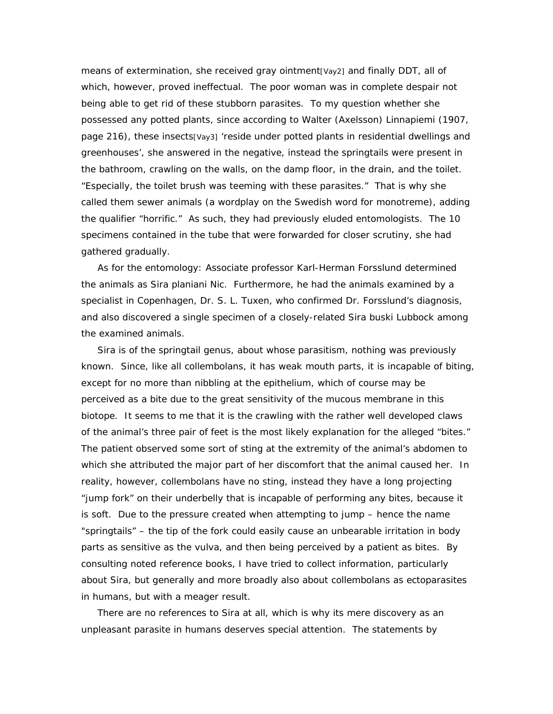means of extermination, she received gray ointment[Vay2] and finally DDT, all of which, however, proved ineffectual. The poor woman was in complete despair not being able to get rid of these stubborn parasites. To my question whether she possessed any potted plants, since according to Walter (Axelsson) Linnapiemi (1907, page 216), these insects[Vay3] 'reside under potted plants in residential dwellings and greenhouses', she answered in the negative, instead the springtails were present in the bathroom, crawling on the walls, on the damp floor, in the drain, and the toilet. "Especially, the toilet brush was teeming with these parasites." That is why she called them sewer animals (a wordplay on the Swedish word for monotreme), adding the qualifier "horrific." As such, they had previously eluded entomologists. The 10 specimens contained in the tube that were forwarded for closer scrutiny, she had gathered gradually.

 As for the entomology: Associate professor Karl-Herman Forsslund determined the animals as *Sira planiani* Nic. Furthermore, he had the animals examined by a specialist in Copenhagen, Dr. S. L. Tuxen, who confirmed Dr. Forsslund's diagnosis, and also discovered a single specimen of a closely-related *Sira buski* Lubbock among the examined animals.

*Sira* is of the springtail genus, about whose parasitism, nothing was previously known. Since, like all collembolans, it has weak mouth parts, it is incapable of biting, except for no more than nibbling at the epithelium, which of course may be perceived as a bite due to the great sensitivity of the mucous membrane in this biotope. It seems to me that it is the crawling with the rather well developed claws of the animal's three pair of feet is the most likely explanation for the alleged "bites." The patient observed some sort of sting at the extremity of the animal's abdomen to which she attributed the major part of her discomfort that the animal caused her. In reality, however, collembolans have no sting, instead they have a long projecting "jump fork" on their underbelly that is incapable of performing any bites, because it is soft. Due to the pressure created when attempting to jump – hence the name "springtails" – the tip of the fork could easily cause an unbearable irritation in body parts as sensitive as the vulva, and then being perceived by a patient as bites. By consulting noted reference books, I have tried to collect information, particularly about *Sira,* but generally and more broadly also about collembolans as ectoparasites in humans, but with a meager result.

 There are no references to *Sira* at all, which is why its mere discovery as an unpleasant parasite in humans deserves special attention. The statements by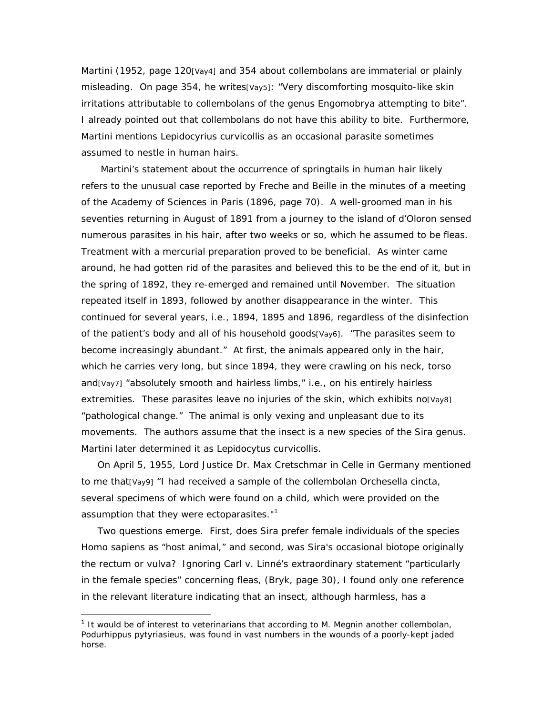Martini (1952, page 120[Vay4] and 354 about collembolans are immaterial or plainly misleading. On page 354, he writes[Vay5]: "Very discomforting mosquito-like skin irritations attributable to collembolans of the genus *Engomobrya* attempting to bite". I already pointed out that collembolans do not have this ability to bite. Furthermore, Martini mentions *Lepidocyrius curvicollis* as an occasional parasite sometimes assumed to nestle in human hairs.

 Martini's statement about the occurrence of springtails in human hair likely refers to the unusual case reported by Freche and Beille in the minutes of a meeting of the Academy of Sciences in Paris (1896, page 70). A well-groomed man in his seventies returning in August of 1891 from a journey to the island of d'Oloron sensed numerous parasites in his hair, after two weeks or so, which he assumed to be fleas. Treatment with a mercurial preparation proved to be beneficial. As winter came around, he had gotten rid of the parasites and believed this to be the end of it, but in the spring of 1892, they re-emerged and remained until November. The situation repeated itself in 1893, followed by another disappearance in the winter. This continued for several years, i.e., 1894, 1895 and 1896, regardless of the disinfection of the patient's body and all of his household goods[Vay6]. "The parasites seem to become increasingly abundant." At first, the animals appeared only in the hair, which he carries very long, but since 1894, they were crawling on his neck, torso and[Vay7] "absolutely smooth and hairless limbs," i.e., on his entirely hairless extremities. These parasites leave no injuries of the skin, which exhibits no[Vay8] "pathological change." The animal is only vexing and unpleasant due to its movements. The authors assume that the insect is a new species of the *Sira* genus. Martini later determined it as *Lepidocytus curvicollis.* 

On April 5, 1955, Lord Justice Dr. Max Cretschmar in Celle in Germany mentioned to me that[Vay9] "I had received a sample of the collembolan *Orchesella cincta,* several specimens of which were found on a child, which were provided on the assumption that they were ectoparasites."<sup>1</sup>

 Two questions emerge. First, does *Sira* prefer female individuals of the species Homo sapiens as "host animal," and second, was *Sira's* occasional biotope originally the rectum or vulva? Ignoring Carl v. Linné's extraordinary statement "particularly in the female species" concerning fleas, (Bryk, page 30), I found only one reference in the relevant literature indicating that an insect, although harmless, has a

 1 It would be of interest to veterinarians that according to M. Megnin another collembolan, *Podurhippus pytyriasieus,* was found in vast numbers in the wounds of a poorly-kept jaded horse.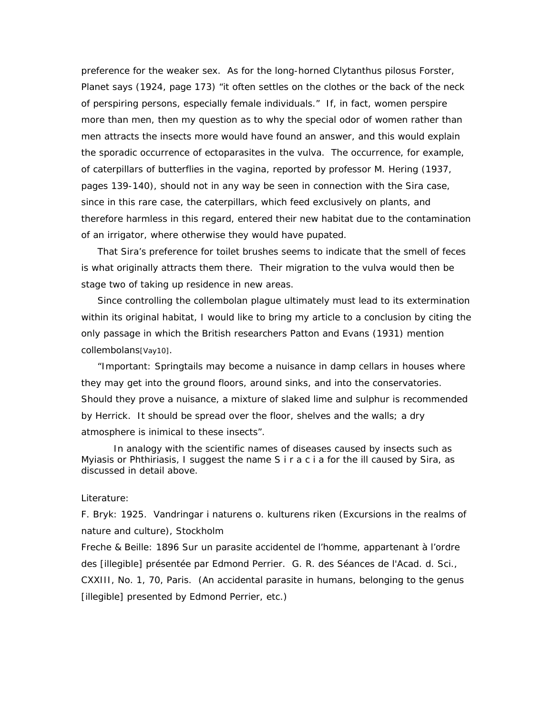preference for the weaker sex. As for the long-horned *Clytanthus pilosus* Forster, Planet says (1924, page 173) "it often settles on the clothes or the back of the neck of perspiring persons, especially female individuals." If, in fact, women perspire more than men, then my question as to why the special odor of women rather than men attracts the insects more would have found an answer, and this would explain the sporadic occurrence of ectoparasites in the vulva. The occurrence, for example, of caterpillars of butterflies in the vagina, reported by professor M. Hering (1937, pages 139-140), should not in any way be seen in connection with the *Sira* case, since in this rare case, the caterpillars, which feed exclusively on plants, and therefore harmless in this regard, entered their new habitat due to the contamination of an irrigator, where otherwise they would have pupated.

 That *Sira's* preference for toilet brushes seems to indicate that the smell of feces is what originally attracts them there. Their migration to the vulva would then be stage two of taking up residence in new areas.

 Since controlling the collembolan plague ultimately must lead to its extermination within its original habitat, I would like to bring my article to a conclusion by citing the only passage in which the British researchers Patton and Evans (1931) mention collembolans[Vay10].

 "*Important:* Springtails may become a nuisance in damp cellars in houses where they may get into the ground floors, around sinks, and into the conservatories. Should they prove a nuisance, a mixture of slaked lime and sulphur is recommended by Herrick. It should be spread over the floor, shelves and the walls; a dry atmosphere is inimical to these insects".

 In analogy with the scientific names of diseases caused by insects such as Myiasis or Phthiriasis, I suggest the name S i r a c i a for the ill caused by *Sira, as*  discussed in detail above.

## Literature:

*F. Bryk:* 1925. Vandringar i naturens o. kulturens riken (Excursions in the realms of nature and culture), Stockholm

*Freche & Beille:* 1896 Sur un parasite accidentel de l'homme, appartenant à l'ordre des [illegible] présentée par Edmond Perrier. G. R. des Séances de l'Acad. d. Sci., CXXIII, No. 1, 70, Paris. (An accidental parasite in humans, belonging to the genus [illegible] presented by Edmond Perrier, etc.)